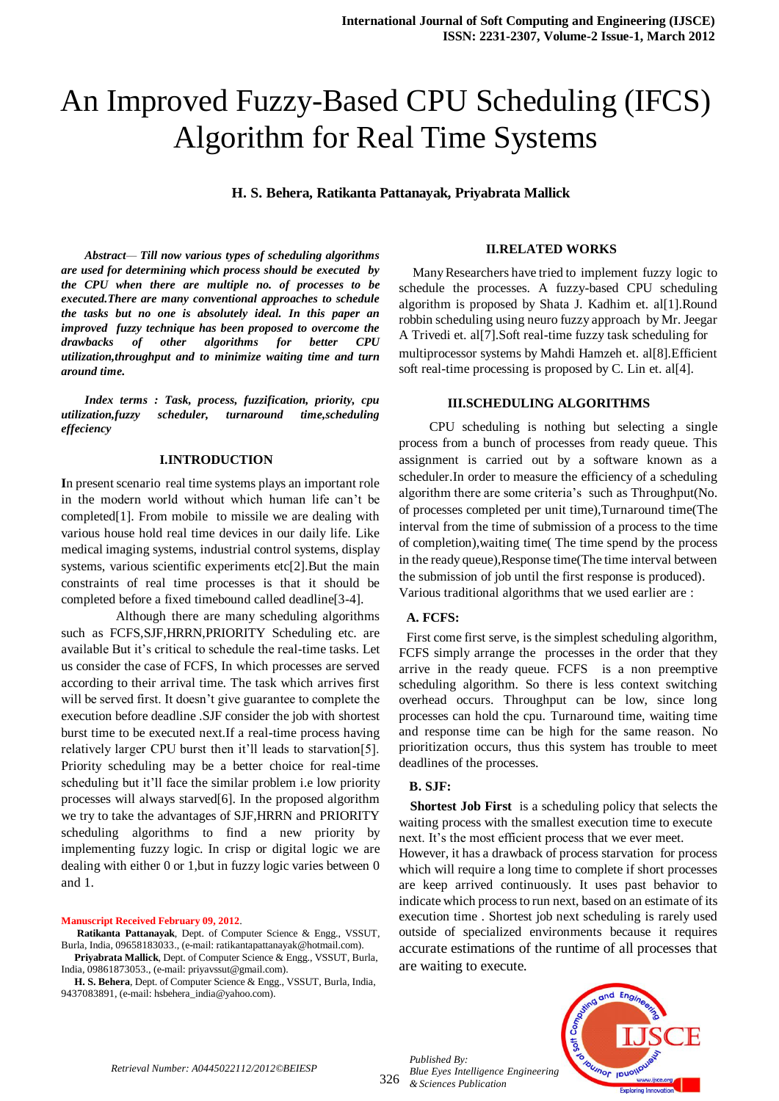# An Improved Fuzzy-Based CPU Scheduling (IFCS) Algorithm for Real Time Systems

**H. S. Behera, Ratikanta Pattanayak, Priyabrata Mallick**

*Abstract— Till now various types of scheduling algorithms are used for determining which process should be executed by the CPU when there are multiple no. of processes to be executed.There are many conventional approaches to schedule the tasks but no one is absolutely ideal. In this paper an improved fuzzy technique has been proposed to overcome the drawbacks of other algorithms for better CPU utilization,throughput and to minimize waiting time and turn around time.*

*Index terms : Task, process, fuzzification, priority, cpu utilization,fuzzy scheduler, turnaround time,scheduling effeciency*

#### **I.INTRODUCTION**

**I**n present scenario real time systems plays an important role in the modern world without which human life can't be completed[1]. From mobile to missile we are dealing with various house hold real time devices in our daily life. Like medical imaging systems, industrial control systems, display systems, various scientific experiments etc[2].But the main constraints of real time processes is that it should be completed before a fixed timebound called deadline[3-4].

 Although there are many scheduling algorithms such as FCFS,SJF,HRRN,PRIORITY Scheduling etc. are available But it's critical to schedule the real-time tasks. Let us consider the case of FCFS, In which processes are served according to their arrival time. The task which arrives first will be served first. It doesn't give guarantee to complete the execution before deadline .SJF consider the job with shortest burst time to be executed next.If a real-time process having relatively larger CPU burst then it'll leads to starvation[5]. Priority scheduling may be a better choice for real-time scheduling but it'll face the similar problem i.e low priority processes will always starved[6]. In the proposed algorithm we try to take the advantages of SJF,HRRN and PRIORITY scheduling algorithms to find a new priority by implementing fuzzy logic. In crisp or digital logic we are dealing with either 0 or 1,but in fuzzy logic varies between 0 and 1.

#### **Manuscript Received February 09, 2012**.

**H. S. Behera**, Dept. of Computer Science & Engg., VSSUT, Burla, India, 9437083891, (e-mail: hsbehera\_india@yahoo.com).

#### **II.RELATED WORKS**

 Many Researchers have tried to implement fuzzy logic to schedule the processes. A fuzzy-based CPU scheduling algorithm is proposed by Shata J. Kadhim et. al[1].Round robbin scheduling using neuro fuzzy approach by Mr. Jeegar A Trivedi et. al[7].Soft real-time fuzzy task scheduling for multiprocessor systems by Mahdi Hamzeh et. al[8].Efficient soft real-time processing is proposed by C. Lin et. al[4].

#### **III.SCHEDULING ALGORITHMS**

CPU scheduling is nothing but selecting a single process from a bunch of processes from ready queue. This assignment is carried out by a software known as a scheduler.In order to measure the efficiency of a scheduling algorithm there are some criteria's such as Throughput(No. of processes completed per unit time),Turnaround time(The interval from the time of submission of a process to the time of completion),waiting time( The time spend by the process in the ready queue),Response time(The time interval between the submission of job until the first response is produced). Various traditional algorithms that we used earlier are :

#### **A. FCFS:**

First come first serve, is the simplest scheduling algorithm, FCFS simply arrange the processes in the order that they arrive in the ready queue. FCFS is a non preemptive scheduling algorithm. So there is less context switching overhead occurs. Throughput can be low, since long processes can hold the cpu. Turnaround time, waiting time and response time can be high for the same reason. No prioritization occurs, thus this system has trouble to meet deadlines of the processes.

#### **B. SJF:**

 **Shortest Job First** is a scheduling policy that selects the waiting process with the smallest execution time to execute next. It's the most efficient process that we ever meet.

However, it has a drawback of process starvation for process which will require a long time to complete if short processes are keep arrived continuously. It uses past behavior to indicate which process to run next, based on an estimate of its execution time . Shortest job next scheduling is rarely used outside of specialized environments because it requires accurate estimations of the runtime of all processes that are waiting to execute.





**Ratikanta Pattanayak**, Dept. of Computer Science & Engg., VSSUT, Burla, India, 09658183033., (e-mail: ratikantapattanayak@hotmail.com).

**Priyabrata Mallick**, Dept. of Computer Science & Engg., VSSUT, Burla, India, 09861873053., (e-mail: [priyavssut@gmail.com\)](mailto:priyavssut@gmail.com).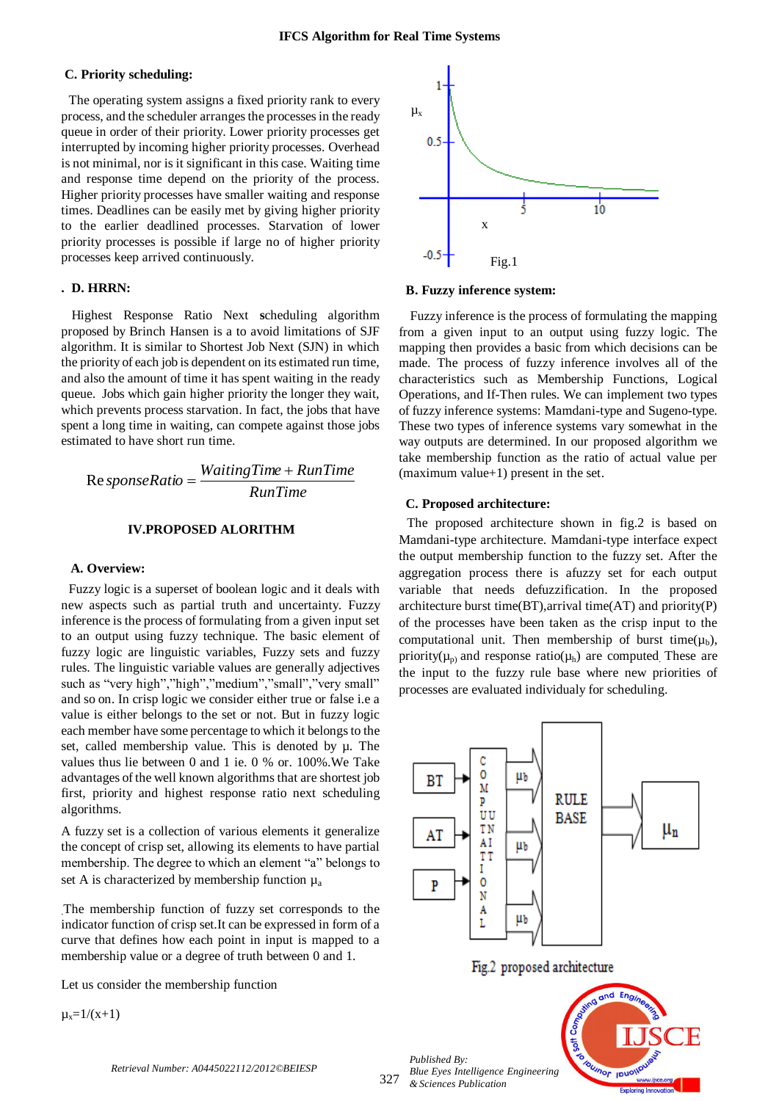#### **C. Priority scheduling:**

 The operating system assigns a fixed priority rank to every process, and the scheduler arranges the processes in the ready queue in order of their priority. Lower priority processes get interrupted by incoming higher priority processes. Overhead is not minimal, nor is it significant in this case. Waiting time and response time depend on the priority of the process. Higher priority processes have smaller waiting and response times. Deadlines can be easily met by giving higher priority to the earlier deadlined processes. Starvation of lower priority processes is possible if large no of higher priority processes keep arrived continuously.

#### **. D. HRRN:**

Highest Response Ratio Next **s**cheduling algorithm proposed by Brinch Hansen is a to avoid limitations of SJF algorithm. It is similar to Shortest Job Next (SJN) in which the priority of each job is dependent on its estimated run time, and also the amount of time it has spent waiting in the ready queue. Jobs which gain higher priority the longer they wait, which prevents process starvation. In fact, the jobs that have spent a long time in waiting, can compete against those jobs estimated to have short run time.

$$
Re sponseRatio = \frac{WaitingTime + RunTime}{RunTime}
$$

#### **IV.PROPOSED ALORITHM**

#### **A. Overview:**

Fuzzy logic is a superset of boolean logic and it deals with new aspects such as partial truth and uncertainty. Fuzzy inference is the process of formulating from a given input set to an output using fuzzy technique. The basic element of fuzzy logic are linguistic variables, Fuzzy sets and fuzzy rules. The linguistic variable values are generally adjectives such as "very high","high","medium","small","very small" and so on. In crisp logic we consider either true or false i.e a value is either belongs to the set or not. But in fuzzy logic each member have some percentage to which it belongs to the set, called membership value. This is denoted by  $\mu$ . The values thus lie between 0 and 1 ie. 0 % or. 100%.We Take advantages of the well known algorithms that are shortest job first, priority and highest response ratio next scheduling algorithms.

A fuzzy set is a collection of various elements it generalize the concept of crisp set, allowing its elements to have partial membership. The degree to which an element "a" belongs to set A is characterized by membership function  $\mu_a$ 

.The membership function of fuzzy set corresponds to the indicator function of crisp set.It can be expressed in form of a curve that defines how each point in input is mapped to a membership value or a degree of truth between 0 and 1.

Let us consider the membership function

 $\mu_{x}=1/(x+1)$ 



 **B. Fuzzy inference system:**

Fuzzy inference is the process of formulating the mapping from a given input to an output using fuzzy logic. The mapping then provides a basic from which decisions can be made. The process of fuzzy inference involves all of the characteristics such as Membership Functions, [Logical](http://www.mathworks.in/help/toolbox/fuzzy/bp78l6_-1.html#bp78l70-5)  [Operations,](http://www.mathworks.in/help/toolbox/fuzzy/bp78l6_-1.html#bp78l70-5) and If-Then rules. We can implement two types of fuzzy inference systems: Mamdani-type and Sugeno-type. These two types of inference systems vary somewhat in the way outputs are determined. In our proposed algorithm we take membership function as the ratio of actual value per (maximum value+1) present in the set.

#### **C. Proposed architecture:**

The proposed architecture shown in fig.2 is based on Mamdani-type architecture. Mamdani-type interface expect the output membership function to the fuzzy set. After the aggregation process there is afuzzy set for each output variable that needs defuzzification. In the proposed architecture burst time(BT),arrival time(AT) and priority(P) of the processes have been taken as the crisp input to the computational unit. Then membership of burst time( $\mu_b$ ), priority( $\mu_{\rm p}$ ) and response ratio( $\mu_{\rm h}$ ) are computed. These are the input to the fuzzy rule base where new priorities of processes are evaluated individualy for scheduling.



Fig.2 proposed architecture

327 *Published By: Blue Eyes Intelligence Engineering & Sciences Publication* 



*Retrieval Number: A0445022112/2012©BEIESP*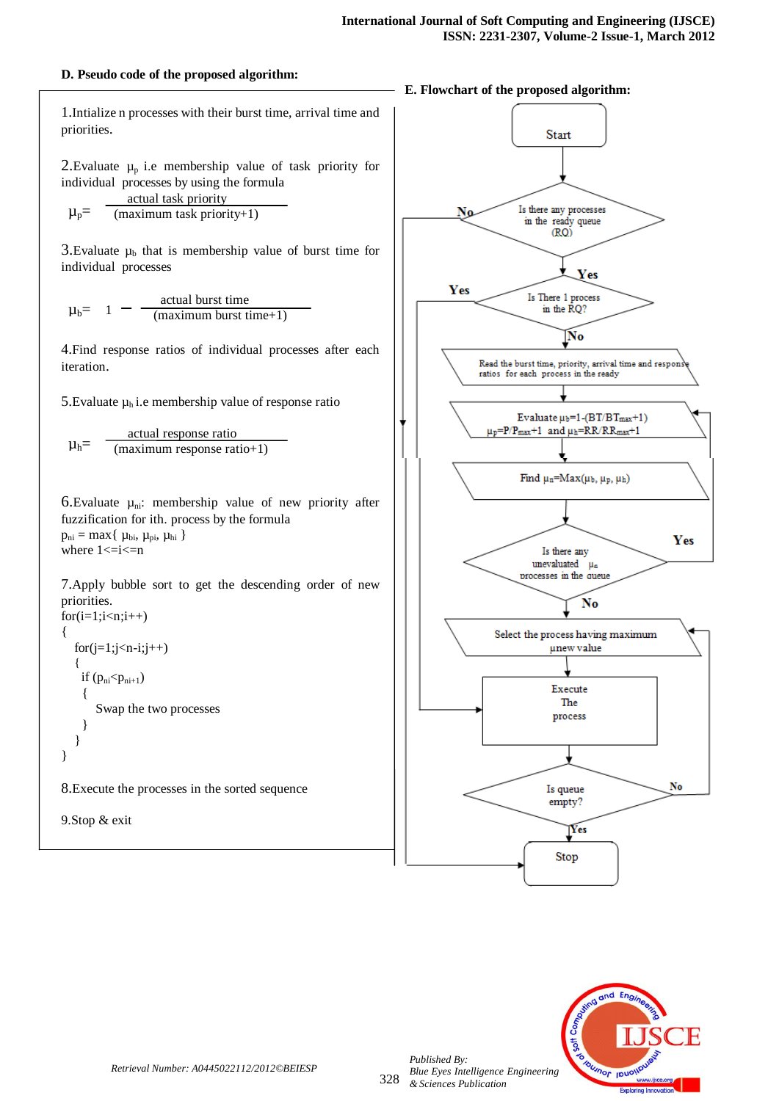#### **D. Pseudo code of the proposed algorithm:**

1.Intialize n processes with their burst time, arrival time and priorities.

2. Evaluate  $\mu_p$  i.e membership value of task priority for individual processes by using the formula

$$
\mu_p = \frac{\text{actual task priority}}{(\text{maximum task priority}+1)}
$$

3. Evaluate  $\mu_b$  that is membership value of burst time for individual processes

$$
\mu_b = 1 - \frac{\text{actual burst time}}{(\text{maximum burst time}+1)}
$$

4.Find response ratios of individual processes after each iteration.

5. Evaluate  $\mu_h$  i.e membership value of response ratio

$$
\mu_h = \frac{\text{actual response ratio}}{(\text{maximum response ratio}+1)}
$$

6. Evaluate  $\mu_{ni}$ : membership value of new priority after fuzzification for ith. process by the formula  $p_{ni} = max\{ \mu_{bi}, \mu_{pi}, \mu_{hi} \}$ 

where  $1 \le i \le n$ 

7.Apply bubble sort to get the descending order of new priorities.  $for(i=1;i\leq n;i++)$ 

```
{
  for (j=1; j < n-i; j++){
    if (p_{ni} < p_{ni+1}) {
        Swap the two processes
 } 
   }
}
```
8.Execute the processes in the sorted sequence

```
9.Stop & exit
```
#### **E. Flowchart of the proposed algorithm:**





*Published By:*

*& Sciences Publication*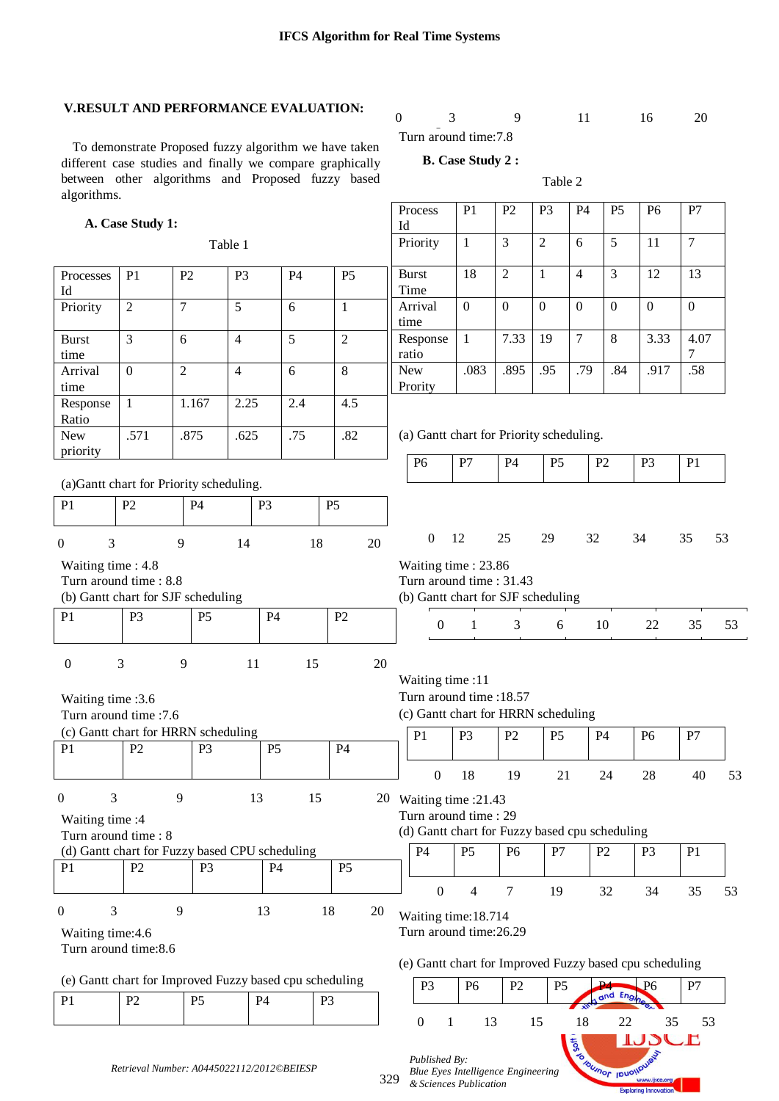Process  $\overline{1}$ 

### **V.RESULT AND PERFORMANCE EVALUATION:**

#### $\sqrt{3}$ 0 3 9 11 16 20

 To demonstrate Proposed fuzzy algorithm we have taken different case studies and finally we compare graphically between other algorithms and Proposed fuzzy based algorithms.

## Turn around time: 7.8 **B. Case Study 2 :**

Table 2

P1 | P2 | P3 | P4 | P5 | P6 | P7

Exploring Innovation

|                                                                                   | A. Case Study 1: |                                           |                |                |                |    | Id                                                                                                |                |                |                |                   |                            |                    |                |    |
|-----------------------------------------------------------------------------------|------------------|-------------------------------------------|----------------|----------------|----------------|----|---------------------------------------------------------------------------------------------------|----------------|----------------|----------------|-------------------|----------------------------|--------------------|----------------|----|
|                                                                                   |                  |                                           | Table 1        |                |                |    | Priority                                                                                          | $\mathbf{1}$   | $\overline{3}$ | $\overline{2}$ | 6                 | 5                          | 11                 | $\overline{7}$ |    |
| Processes<br>Id                                                                   | P <sub>1</sub>   | P2                                        | P <sub>3</sub> | <b>P4</b>      | P <sub>5</sub> |    | <b>Burst</b><br>Time                                                                              | 18             | $\overline{2}$ | $\mathbf{1}$   | $\overline{4}$    | 3                          | 12                 | 13             |    |
| Priority                                                                          | $\overline{2}$   | $\overline{7}$                            | 5              | 6              | $\mathbf{1}$   |    | Arrival<br>time                                                                                   | $\mathbf{0}$   | $\overline{0}$ | $\overline{0}$ | $\mathbf{0}$      | $\Omega$                   | $\overline{0}$     | $\overline{0}$ |    |
| <b>Burst</b><br>time                                                              | $\overline{3}$   | 6                                         | $\overline{4}$ | $\overline{5}$ | $\overline{2}$ |    | Response<br>ratio                                                                                 | $\mathbf{1}$   | 7.33           | 19             | $\overline{7}$    | 8                          | 3.33               | 4.07<br>$\tau$ |    |
| Arrival<br>time                                                                   | $\mathbf{0}$     | $\overline{2}$                            | $\overline{4}$ | 6              | 8              |    | <b>New</b><br>Prority                                                                             | .083           | .895           | .95            | .79               | .84                        | .917               | .58            |    |
| Response<br>Ratio                                                                 | $\mathbf{1}$     | 1.167                                     | 2.25           | 2.4            | 4.5            |    |                                                                                                   |                |                |                |                   |                            |                    |                |    |
| <b>New</b><br>priority                                                            | .571             | .875                                      | .625           | .75            | .82            |    | (a) Gantt chart for Priority scheduling.                                                          |                |                |                |                   |                            |                    |                |    |
| (a)Gantt chart for Priority scheduling.                                           |                  |                                           |                |                |                |    | P <sub>6</sub>                                                                                    | P7             | <b>P4</b>      | P <sub>5</sub> |                   | P2                         | P <sub>3</sub>     | P1             |    |
| P1                                                                                | P <sub>2</sub>   | P <sub>4</sub>                            |                | P <sub>3</sub> | P <sub>5</sub> |    |                                                                                                   |                |                |                |                   |                            |                    |                |    |
| 3<br>$\overline{0}$                                                               |                  | 9                                         | 14             |                | 18             | 20 | $\boldsymbol{0}$                                                                                  | 12             | 25             | 29             | 32                |                            | 34                 | 35             | 53 |
| Waiting time: 4.8<br>Turn around time : 8.8<br>(b) Gantt chart for SJF scheduling |                  |                                           |                |                |                |    | Waiting time: 23.86<br>Turn around time: 31.43<br>(b) Gantt chart for SJF scheduling              |                |                |                |                   |                            |                    |                |    |
| P1                                                                                | P <sub>3</sub>   | P <sub>5</sub>                            |                | <b>P4</b>      | P2             |    | $\theta$                                                                                          | $\mathbf{1}$   | 3              | 6              |                   | 10                         | 22                 | 35             | 53 |
| $\boldsymbol{0}$<br>Waiting time :3.6<br>Turn around time : 7.6                   | 3                | 9                                         | 11             |                | 15             | 20 | Waiting time :11<br>Turn around time :18.57<br>(c) Gantt chart for HRRN scheduling                |                |                |                |                   |                            |                    |                |    |
| (c) Gantt chart for HRRN scheduling<br>P <sub>1</sub>                             | P <sub>2</sub>   | P <sub>3</sub>                            |                | P <sub>5</sub> | P4             |    | P1                                                                                                | P <sub>3</sub> | P2             | P <sub>5</sub> |                   | P4                         | P <sub>6</sub>     | P7             |    |
|                                                                                   |                  |                                           |                |                |                |    | $\boldsymbol{0}$                                                                                  | 18             | 19             | 21             |                   | 24                         | 28                 | 40             | 53 |
| 3<br>$\Omega$<br>Waiting time :4<br>Turn around time: 8                           |                  | 9                                         | 13             |                | 15             |    | 20 Waiting time : 21.43<br>Turn around time: 29<br>(d) Gantt chart for Fuzzy based cpu scheduling |                |                |                |                   |                            |                    |                |    |
| (d) Gantt chart for Fuzzy based CPU scheduling<br>P <sub>1</sub>                  | P <sub>2</sub>   |                                           |                | P4             | P <sub>5</sub> |    | P4                                                                                                | P <sub>5</sub> | P <sub>6</sub> | P7             |                   | P2                         | P <sub>3</sub>     | P <sub>1</sub> |    |
|                                                                                   |                  | P <sub>3</sub>                            |                |                |                |    | $\mathbf{0}$                                                                                      | 4              | 7              | 19             |                   | 32                         | 34                 | 35             | 53 |
| 3<br>$\boldsymbol{0}$<br>Waiting time: 4.6<br>Turn around time: 8.6               |                  | 9                                         | 13             |                | 18             | 20 | Waiting time: 18.714<br>Turn around time:26.29                                                    |                |                |                |                   |                            |                    |                |    |
|                                                                                   |                  |                                           |                |                |                |    | (e) Gantt chart for Improved Fuzzy based cpu scheduling                                           |                |                |                |                   |                            |                    |                |    |
| (e) Gantt chart for Improved Fuzzy based cpu scheduling<br>P1                     | P <sub>2</sub>   | P <sub>5</sub>                            | P4             |                | P <sub>3</sub> |    | P <sub>3</sub>                                                                                    | P <sub>6</sub> | P <sub>2</sub> | P <sub>5</sub> |                   | P4<br>and Eng              | P <sub>6</sub>     | P7             |    |
|                                                                                   |                  |                                           |                |                |                |    | $\boldsymbol{0}$<br>$\mathbf{1}$                                                                  |                | 13             | 15             | 18<br><b>Soft</b> | 22                         | 35<br><b>TAPCE</b> | 53             |    |
|                                                                                   |                  | Retrieval Number: A0445022112/2012©BEIESP |                |                |                |    | Published By:<br>Blue Eyes Intelligence Engineering<br>329<br>& Sciences Publication              |                |                |                |                   | <b>SOTOUTION IDUOIDUAL</b> | www.ijsce.org      |                |    |

329 *Blue Eyes Intelligence Engineering & Sciences Publication*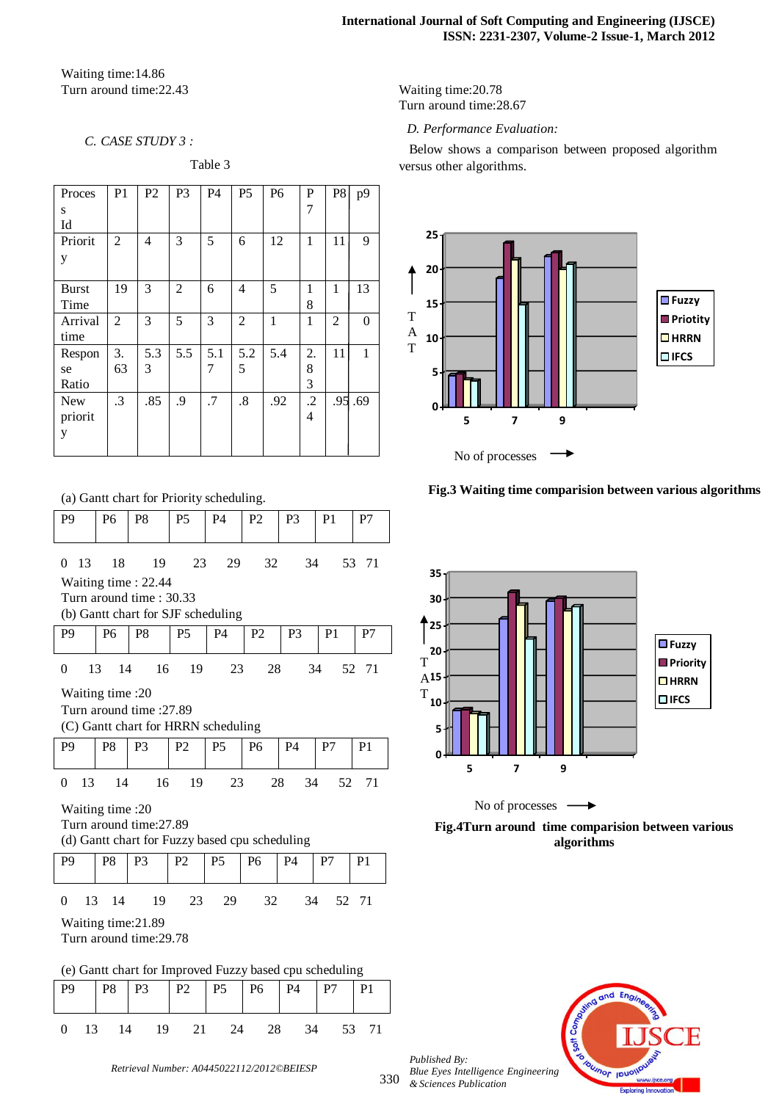Waiting time:14.86 Turn around time:22.43

#### *C. CASE STUDY 3 :*

Table 3

| Proces       | P <sub>1</sub> | P <sub>2</sub> | P <sub>3</sub> | <b>P4</b> | P <sub>5</sub> | P <sub>6</sub> | P              | P <sub>8</sub> | p9             |
|--------------|----------------|----------------|----------------|-----------|----------------|----------------|----------------|----------------|----------------|
| S            |                |                |                |           |                |                | 7              |                |                |
| Id           |                |                |                |           |                |                |                |                |                |
| Priorit      | 2              | 4              | 3              | 5         | 6              | 12             | 1              | 11             | 9              |
| y            |                |                |                |           |                |                |                |                |                |
| <b>Burst</b> | 19             | 3              | 2              | 6         | $\overline{4}$ | 5              | 1              | 1              | 13             |
| Time         |                |                |                |           |                |                | 8              |                |                |
| Arrival      | $\overline{2}$ | 3              | 5              | 3         | $\overline{2}$ | 1              | 1              | $\overline{2}$ | $\overline{0}$ |
| time         |                |                |                |           |                |                |                |                |                |
| Respon       | 3.             | 5.3            | 5.5            | 5.1       | 5.2            | 5.4            | 2.             | 11             | 1              |
| se           | 63             | 3              |                | 7         | 5              |                | 8              |                |                |
| Ratio        |                |                |                |           |                |                | 3              |                |                |
| <b>New</b>   | $\cdot$ 3      | .85            | .9             | .7        | .8             | .92            | $\cdot$ .2     | .95            | .69            |
| priorit      |                |                |                |           |                |                | $\overline{4}$ |                |                |
| y            |                |                |                |           |                |                |                |                |                |
|              |                |                |                |           |                |                |                |                |                |

Waiting time:20.78 Turn around time:28.67

 *D. Performance Evaluation:*

 Below shows a comparison between proposed algorithm versus other algorithms.



#### **Fig.3 Waiting time comparision between various algorithms**



No of processes - $\rightarrow$ **Fig.4Turn around time comparision between various algorithms**



|     | Published By:                      |
|-----|------------------------------------|
|     | Blue Eyes Intelligence Engineering |
| 330 | & Sciences Publication             |

(a) Gantt chart for Priority scheduling. P9 | P6 | P8 | P5 | P4 | P2 | P3 | P1 | P7

| $\Omega$                                                       | 13                                              | 18               | 19                                             | 23             | 29             | 32             | 34             | 53             | 71             |  |  |
|----------------------------------------------------------------|-------------------------------------------------|------------------|------------------------------------------------|----------------|----------------|----------------|----------------|----------------|----------------|--|--|
|                                                                | Waiting time: 22.44                             |                  |                                                |                |                |                |                |                |                |  |  |
|                                                                | Turn around time: 30.33                         |                  |                                                |                |                |                |                |                |                |  |  |
| (b) Gantt chart for SJF scheduling                             |                                                 |                  |                                                |                |                |                |                |                |                |  |  |
| P <sub>9</sub>                                                 |                                                 | P <sub>6</sub>   | P8                                             | P5             | <b>P4</b>      | P <sub>2</sub> | P <sub>3</sub> | P <sub>1</sub> | P7             |  |  |
|                                                                |                                                 |                  |                                                |                |                |                |                |                |                |  |  |
| $\theta$                                                       | 13<br>14<br>16<br>19<br>23<br>28<br>52 71<br>34 |                  |                                                |                |                |                |                |                |                |  |  |
| Waiting time :20                                               |                                                 |                  |                                                |                |                |                |                |                |                |  |  |
| Turn around time :27.89                                        |                                                 |                  |                                                |                |                |                |                |                |                |  |  |
| (C) Gantt chart for HRRN scheduling                            |                                                 |                  |                                                |                |                |                |                |                |                |  |  |
| P <sub>9</sub>                                                 |                                                 | P <sub>8</sub>   | P <sub>3</sub>                                 | P <sub>2</sub> | <b>P5</b>      | P <sub>6</sub> | <b>P4</b>      | P7             | P <sub>1</sub> |  |  |
|                                                                |                                                 |                  |                                                |                |                |                |                |                |                |  |  |
| 16<br>19<br>$\theta$<br>13<br>14<br>23<br>28<br>34<br>52<br>71 |                                                 |                  |                                                |                |                |                |                |                |                |  |  |
|                                                                |                                                 | Waiting time :20 |                                                |                |                |                |                |                |                |  |  |
|                                                                |                                                 |                  | Turn around time: 27.89                        |                |                |                |                |                |                |  |  |
|                                                                |                                                 |                  | (d) Gantt chart for Fuzzy based cpu scheduling |                |                |                |                |                |                |  |  |
| P <sub>9</sub>                                                 |                                                 | P <sub>8</sub>   | P <sub>3</sub>                                 | P <sub>2</sub> | <b>P5</b>      | <b>P6</b>      | <b>P4</b>      | P7             | P <sub>1</sub> |  |  |
|                                                                |                                                 |                  |                                                |                |                |                |                |                |                |  |  |
| $\theta$                                                       | 13                                              | 14               | 19                                             | 23             | 29             | 32             | 34             |                | 52 71          |  |  |
| Waiting time: 21.89                                            |                                                 |                  |                                                |                |                |                |                |                |                |  |  |
| Turn around time: 29.78                                        |                                                 |                  |                                                |                |                |                |                |                |                |  |  |
|                                                                |                                                 |                  |                                                |                |                |                |                |                |                |  |  |
| (e) Gantt chart for Improved Fuzzy based cpu scheduling        |                                                 |                  |                                                |                |                |                |                |                |                |  |  |
| P <sub>9</sub>                                                 |                                                 | P <sub>8</sub>   | P <sub>3</sub>                                 | P <sub>2</sub> | P <sub>5</sub> | P6             | <b>P4</b>      | P7             | P <sub>1</sub> |  |  |
|                                                                |                                                 |                  |                                                |                |                |                |                |                |                |  |  |
| $\overline{0}$                                                 | 13                                              | 14               | 19                                             | 21             | 24             | 28             | 34             | 53             | 71             |  |  |
|                                                                |                                                 |                  |                                                |                |                |                |                |                |                |  |  |